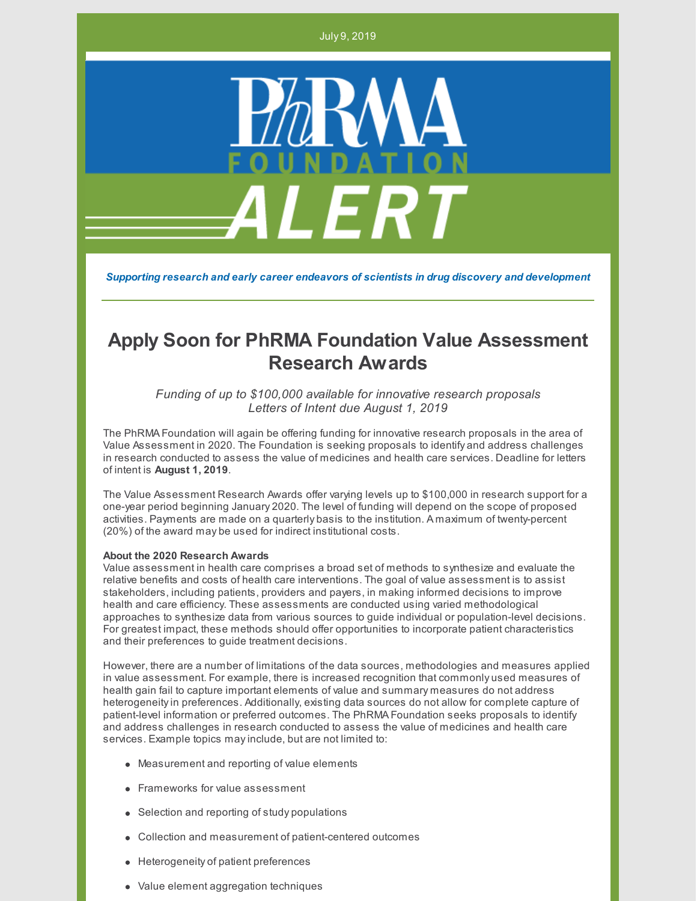July 9, 2019



*Supporting research and early career endeavors of scientists in drug discovery and development*

# **Apply Soon for PhRMA Foundation Value Assessment Research Awards**

*Funding of up to \$100,000 available for innovative research proposals Letters of Intent due August 1, 2019*

The PhRMA Foundation will again be offering funding for innovative research proposals in the area of Value Assessment in 2020. The Foundation is seeking proposals to identify and address challenges in research conducted to assess the value of medicines and health care services. Deadline for letters of intent is **August 1, 2019**.

The Value Assessment Research Awards offer varying levels up to \$100,000 in research support for a one-year period beginning January 2020. The level of funding will depend on the scope of proposed activities. Payments are made on a quarterly basis to the institution. A maximum of twenty-percent (20%) of the award may be used for indirect institutional costs.

### **About the 2020 Research Awards**

Value assessment in health care comprises a broad set of methods to synthesize and evaluate the relative benefits and costs of health care interventions. The goal of value assessment is to assist stakeholders, including patients, providers and payers, in making informed decisions to improve health and care efficiency. These assessments are conducted using varied methodological approaches to synthesize data from various sources to guide individual or population-level decisions. For greatest impact, these methods should offer opportunities to incorporate patient characteristics and their preferences to guide treatment decisions.

However, there are a number of limitations of the data sources, methodologies and measures applied in value assessment. For example, there is increased recognition that commonly used measures of health gain fail to capture important elements of value and summary measures do not address heterogeneityin preferences. Additionally, existing data sources do not allow for complete capture of patient-level information or preferred outcomes. The PhRMA Foundation seeks proposals to identify and address challenges in research conducted to assess the value of medicines and health care services. Example topics mayinclude, but are not limited to:

- Measurement and reporting of value elements
- **Frameworks for value assessment**
- Selection and reporting of study populations
- Collection and measurement of patient-centered outcomes
- **•** Heterogeneity of patient preferences
- Value element aggregation techniques